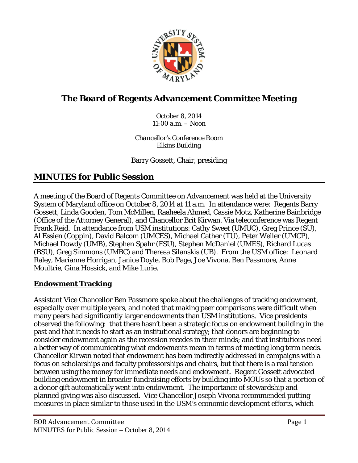

# **The Board of Regents Advancement Committee Meeting**

*October 8, 2014 11:00 a.m. – Noon*

*Chancellor's Conference Room Elkins Building*

Barry Gossett, Chair, presiding

## **MINUTES for Public Session**

A meeting of the Board of Regents Committee on Advancement was held at the University System of Maryland office on October 8, 2014 at 11 a.m. In attendance were: Regents Barry Gossett, Linda Gooden, Tom McMillen, Raaheela Ahmed, Cassie Motz, Katherine Bainbridge (Office of the Attorney General), and Chancellor Brit Kirwan. Via teleconference was Regent Frank Reid. In attendance from USM institutions: Cathy Sweet (UMUC), Greg Prince (SU), Al Essien (Coppin), David Balcom (UMCES), Michael Cather (TU), Peter Weiler (UMCP), Michael Dowdy (UMB), Stephen Spahr (FSU), Stephen McDaniel (UMES), Richard Lucas (BSU), Greg Simmons (UMBC) and Theresa Silanskis (UB). From the USM office: Leonard Raley, Marianne Horrigan, Janice Doyle, Bob Page, Joe Vivona, Ben Passmore, Anne Moultrie, Gina Hossick, and Mike Lurie.

#### **Endowment Tracking**

Assistant Vice Chancellor Ben Passmore spoke about the challenges of tracking endowment, especially over multiple years, and noted that making peer comparisons were difficult when many peers had significantly larger endowments than USM institutions. Vice presidents observed the following: that there hasn't been a strategic focus on endowment building in the past and that it needs to start as an institutional strategy; that donors are beginning to consider endowment again as the recession recedes in their minds; and that institutions need a better way of communicating what endowments mean in terms of meeting long term needs. Chancellor Kirwan noted that endowment has been indirectly addressed in campaigns with a focus on scholarships and faculty professorships and chairs, but that there is a real tension between using the money for immediate needs and endowment. Regent Gossett advocated building endowment in broader fundraising efforts by building into MOUs so that a portion of a donor gift automatically went into endowment. The importance of stewardship and planned giving was also discussed. Vice Chancellor Joseph Vivona recommended putting measures in place similar to those used in the USM's economic development efforts, which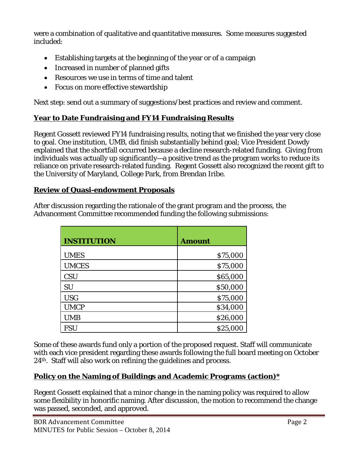were a combination of qualitative and quantitative measures. Some measures suggested included:

- Establishing targets at the beginning of the year or of a campaign
- Increased in number of planned gifts
- Resources we use in terms of time and talent
- Focus on more effective stewardship

Next step: send out a summary of suggestions/best practices and review and comment.

## **Year to Date Fundraising and FY14 Fundraising Results**

Regent Gossett reviewed FY14 fundraising results, noting that we finished the year very close to goal. One institution, UMB, did finish substantially behind goal; Vice President Dowdy explained that the shortfall occurred because a decline research-related funding. Giving from individuals was actually up significantly—a positive trend as the program works to reduce its reliance on private research-related funding. Regent Gossett also recognized the recent gift to the University of Maryland, College Park, from Brendan Iribe.

### **Review of Quasi-endowment Proposals**

After discussion regarding the rationale of the grant program and the process, the Advancement Committee recommended funding the following submissions:

| <b>INSTITUTION</b> | <b>Amount</b> |
|--------------------|---------------|
| <b>UMES</b>        | \$75,000      |
| <b>UMCES</b>       | \$75,000      |
| <b>CSU</b>         | \$65,000      |
| SU                 | \$50,000      |
| <b>USG</b>         | \$75,000      |
| <b>UMCP</b>        | \$34,000      |
| <b>UMB</b>         | \$26,000      |
| <b>FSU</b>         | \$25,000      |

Some of these awards fund only a portion of the proposed request. Staff will communicate with each vice president regarding these awards following the full board meeting on October 24th. Staff will also work on refining the guidelines and process.

### **Policy on the Naming of Buildings and Academic Programs (action)\***

Regent Gossett explained that a minor change in the naming policy was required to allow some flexibility in honorific naming. After discussion, the motion to recommend the change was passed, seconded, and approved.